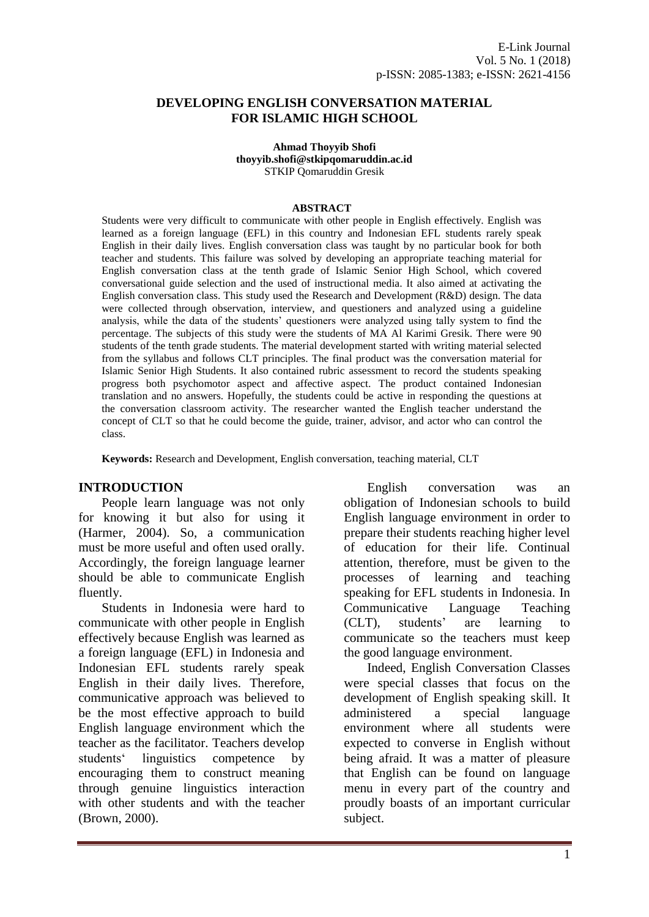#### **DEVELOPING ENGLISH CONVERSATION MATERIAL FOR ISLAMIC HIGH SCHOOL**

**Ahmad Thoyyib Shofi thoyyib.shofi@stkipqomaruddin.ac.id** STKIP Qomaruddin Gresik

#### **ABSTRACT**

Students were very difficult to communicate with other people in English effectively. English was learned as a foreign language (EFL) in this country and Indonesian EFL students rarely speak English in their daily lives. English conversation class was taught by no particular book for both teacher and students. This failure was solved by developing an appropriate teaching material for English conversation class at the tenth grade of Islamic Senior High School, which covered conversational guide selection and the used of instructional media. It also aimed at activating the English conversation class. This study used the Research and Development (R&D) design. The data were collected through observation, interview, and questioners and analyzed using a guideline analysis, while the data of the students' questioners were analyzed using tally system to find the percentage. The subjects of this study were the students of MA Al Karimi Gresik. There were 90 students of the tenth grade students. The material development started with writing material selected from the syllabus and follows CLT principles. The final product was the conversation material for Islamic Senior High Students. It also contained rubric assessment to record the students speaking progress both psychomotor aspect and affective aspect. The product contained Indonesian translation and no answers. Hopefully, the students could be active in responding the questions at the conversation classroom activity. The researcher wanted the English teacher understand the concept of CLT so that he could become the guide, trainer, advisor, and actor who can control the class.

**Keywords:** Research and Development, English conversation, teaching material, CLT

#### **INTRODUCTION**

People learn language was not only for knowing it but also for using it (Harmer, 2004). So, a communication must be more useful and often used orally. Accordingly, the foreign language learner should be able to communicate English fluently.

Students in Indonesia were hard to communicate with other people in English effectively because English was learned as a foreign language (EFL) in Indonesia and Indonesian EFL students rarely speak English in their daily lives. Therefore, communicative approach was believed to be the most effective approach to build English language environment which the teacher as the facilitator. Teachers develop students' linguistics competence by encouraging them to construct meaning through genuine linguistics interaction with other students and with the teacher (Brown, 2000).

English conversation was an obligation of Indonesian schools to build English language environment in order to prepare their students reaching higher level of education for their life. Continual attention, therefore, must be given to the processes of learning and teaching speaking for EFL students in Indonesia. In Communicative Language Teaching (CLT), students' are learning to communicate so the teachers must keep the good language environment.

Indeed, English Conversation Classes were special classes that focus on the development of English speaking skill. It administered a special language environment where all students were expected to converse in English without being afraid. It was a matter of pleasure that English can be found on language menu in every part of the country and proudly boasts of an important curricular subject.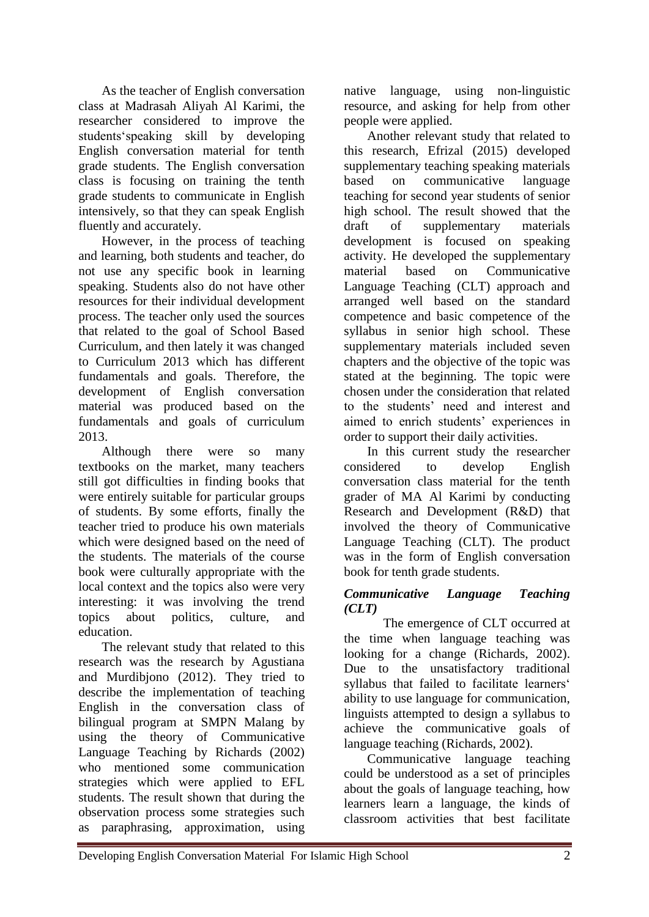As the teacher of English conversation class at Madrasah Aliyah Al Karimi, the researcher considered to improve the students'speaking skill by developing English conversation material for tenth grade students. The English conversation class is focusing on training the tenth grade students to communicate in English intensively, so that they can speak English fluently and accurately.

However, in the process of teaching and learning, both students and teacher, do not use any specific book in learning speaking. Students also do not have other resources for their individual development process. The teacher only used the sources that related to the goal of School Based Curriculum, and then lately it was changed to Curriculum 2013 which has different fundamentals and goals. Therefore, the development of English conversation material was produced based on the fundamentals and goals of curriculum 2013.

Although there were so many textbooks on the market, many teachers still got difficulties in finding books that were entirely suitable for particular groups of students. By some efforts, finally the teacher tried to produce his own materials which were designed based on the need of the students. The materials of the course book were culturally appropriate with the local context and the topics also were very interesting: it was involving the trend topics about politics, culture, and education.

The relevant study that related to this research was the research by Agustiana and Murdibjono (2012). They tried to describe the implementation of teaching English in the conversation class of bilingual program at SMPN Malang by using the theory of Communicative Language Teaching by Richards (2002) who mentioned some communication strategies which were applied to EFL students. The result shown that during the observation process some strategies such as paraphrasing, approximation, using

native language, using non-linguistic resource, and asking for help from other people were applied.

Another relevant study that related to this research, Efrizal (2015) developed supplementary teaching speaking materials based on communicative language teaching for second year students of senior high school. The result showed that the draft of supplementary materials development is focused on speaking activity. He developed the supplementary material based on Communicative Language Teaching (CLT) approach and arranged well based on the standard competence and basic competence of the syllabus in senior high school. These supplementary materials included seven chapters and the objective of the topic was stated at the beginning. The topic were chosen under the consideration that related to the students' need and interest and aimed to enrich students' experiences in order to support their daily activities.

In this current study the researcher considered to develop English conversation class material for the tenth grader of MA Al Karimi by conducting Research and Development (R&D) that involved the theory of Communicative Language Teaching (CLT). The product was in the form of English conversation book for tenth grade students.

## *Communicative Language Teaching (CLT)*

The emergence of CLT occurred at the time when language teaching was looking for a change (Richards, 2002). Due to the unsatisfactory traditional syllabus that failed to facilitate learners' ability to use language for communication, linguists attempted to design a syllabus to achieve the communicative goals of language teaching (Richards, 2002).

Communicative language teaching could be understood as a set of principles about the goals of language teaching, how learners learn a language, the kinds of classroom activities that best facilitate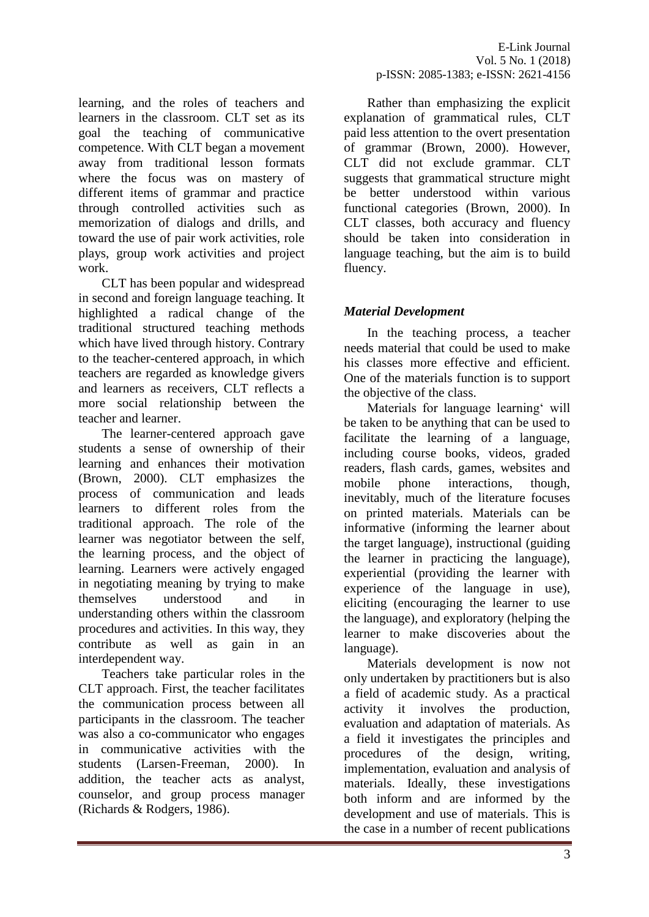learning, and the roles of teachers and learners in the classroom. CLT set as its goal the teaching of communicative competence. With CLT began a movement away from traditional lesson formats where the focus was on mastery of different items of grammar and practice through controlled activities such as memorization of dialogs and drills, and toward the use of pair work activities, role plays, group work activities and project work.

CLT has been popular and widespread in second and foreign language teaching. It highlighted a radical change of the traditional structured teaching methods which have lived through history. Contrary to the teacher-centered approach, in which teachers are regarded as knowledge givers and learners as receivers, CLT reflects a more social relationship between the teacher and learner.

The learner-centered approach gave students a sense of ownership of their learning and enhances their motivation (Brown, 2000). CLT emphasizes the process of communication and leads learners to different roles from the traditional approach. The role of the learner was negotiator between the self, the learning process, and the object of learning. Learners were actively engaged in negotiating meaning by trying to make themselves understood and in understanding others within the classroom procedures and activities. In this way, they contribute as well as gain in an interdependent way.

Teachers take particular roles in the CLT approach. First, the teacher facilitates the communication process between all participants in the classroom. The teacher was also a co-communicator who engages in communicative activities with the students (Larsen-Freeman, 2000). In addition, the teacher acts as analyst, counselor, and group process manager (Richards & Rodgers, 1986).

Rather than emphasizing the explicit explanation of grammatical rules, CLT paid less attention to the overt presentation of grammar (Brown, 2000). However, CLT did not exclude grammar. CLT suggests that grammatical structure might be better understood within various functional categories (Brown, 2000). In CLT classes, both accuracy and fluency should be taken into consideration in language teaching, but the aim is to build fluency.

## *Material Development*

In the teaching process, a teacher needs material that could be used to make his classes more effective and efficient. One of the materials function is to support the objective of the class.

Materials for language learning' will be taken to be anything that can be used to facilitate the learning of a language, including course books, videos, graded readers, flash cards, games, websites and mobile phone interactions, though, inevitably, much of the literature focuses on printed materials. Materials can be informative (informing the learner about the target language), instructional (guiding the learner in practicing the language), experiential (providing the learner with experience of the language in use), eliciting (encouraging the learner to use the language), and exploratory (helping the learner to make discoveries about the language).

Materials development is now not only undertaken by practitioners but is also a field of academic study. As a practical activity it involves the production, evaluation and adaptation of materials. As a field it investigates the principles and procedures of the design, writing, implementation, evaluation and analysis of materials. Ideally, these investigations both inform and are informed by the development and use of materials. This is the case in a number of recent publications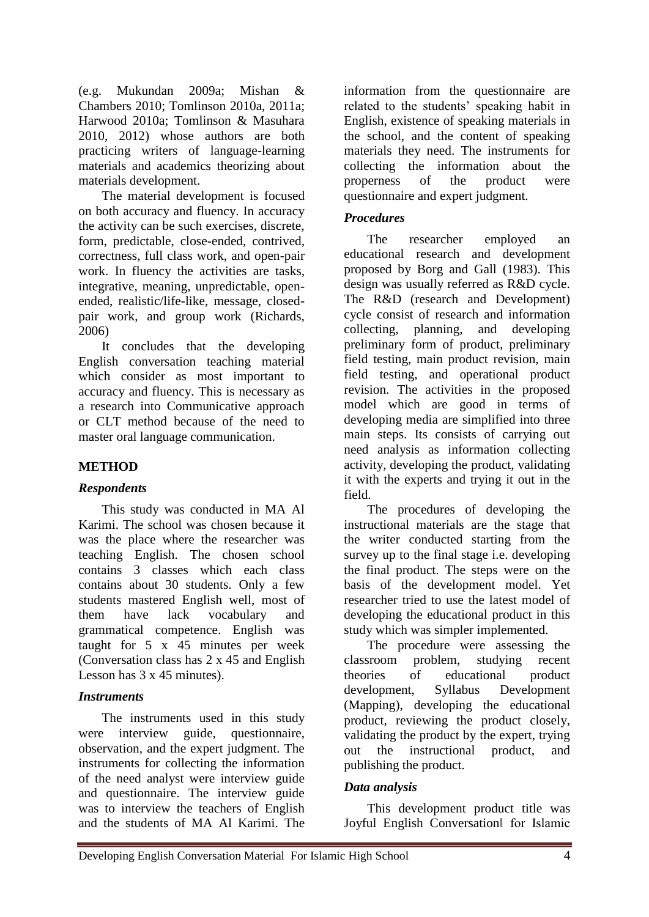(e.g. Mukundan 2009a; Mishan & Chambers 2010; Tomlinson 2010a, 2011a; Harwood 2010a; Tomlinson & Masuhara 2010, 2012) whose authors are both practicing writers of language-learning materials and academics theorizing about materials development.

The material development is focused on both accuracy and fluency. In accuracy the activity can be such exercises, discrete, form, predictable, close-ended, contrived, correctness, full class work, and open-pair work. In fluency the activities are tasks, integrative, meaning, unpredictable, openended, realistic/life-like, message, closedpair work, and group work (Richards, 2006)

It concludes that the developing English conversation teaching material which consider as most important to accuracy and fluency. This is necessary as a research into Communicative approach or CLT method because of the need to master oral language communication.

## **METHOD**

#### *Respondents*

This study was conducted in MA Al Karimi. The school was chosen because it was the place where the researcher was teaching English. The chosen school contains 3 classes which each class contains about 30 students. Only a few students mastered English well, most of them have lack vocabulary and grammatical competence. English was taught for 5 x 45 minutes per week (Conversation class has 2 x 45 and English Lesson has 3 x 45 minutes).

#### *Instruments*

The instruments used in this study were interview guide, questionnaire, observation, and the expert judgment. The instruments for collecting the information of the need analyst were interview guide and questionnaire. The interview guide was to interview the teachers of English and the students of MA Al Karimi. The

information from the questionnaire are related to the students' speaking habit in English, existence of speaking materials in the school, and the content of speaking materials they need. The instruments for collecting the information about the properness of the product were questionnaire and expert judgment.

### *Procedures*

The researcher employed an educational research and development proposed by Borg and Gall (1983). This design was usually referred as R&D cycle. The R&D (research and Development) cycle consist of research and information collecting, planning, and developing preliminary form of product, preliminary field testing, main product revision, main field testing, and operational product revision. The activities in the proposed model which are good in terms of developing media are simplified into three main steps. Its consists of carrying out need analysis as information collecting activity, developing the product, validating it with the experts and trying it out in the field.

The procedures of developing the instructional materials are the stage that the writer conducted starting from the survey up to the final stage i.e. developing the final product. The steps were on the basis of the development model. Yet researcher tried to use the latest model of developing the educational product in this study which was simpler implemented.

The procedure were assessing the classroom problem, studying recent theories of educational product development, Syllabus Development (Mapping), developing the educational product, reviewing the product closely, validating the product by the expert, trying out the instructional product, and publishing the product.

#### *Data analysis*

This development product title was Joyful English Conversation‖ for Islamic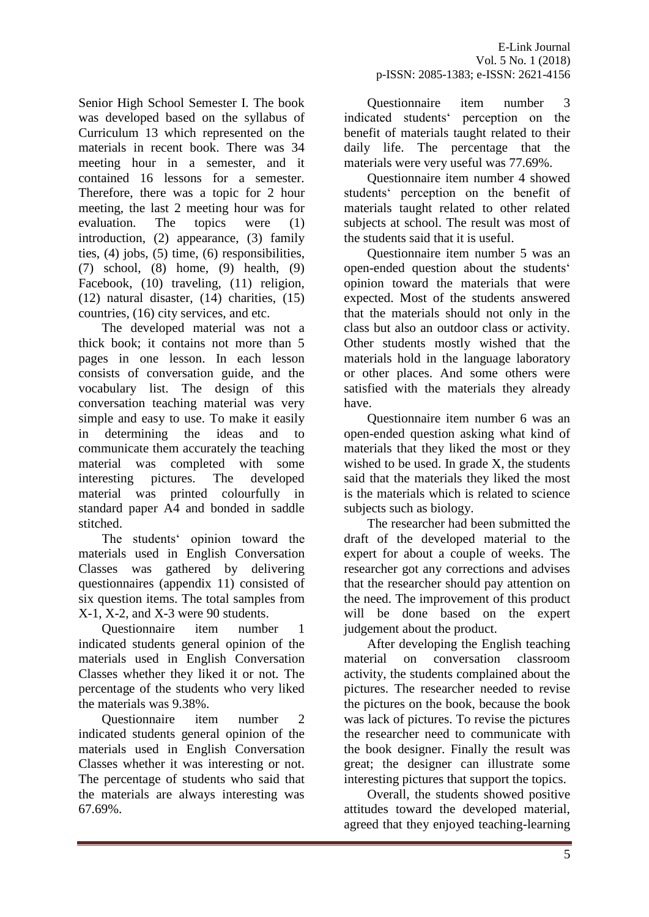Senior High School Semester I. The book was developed based on the syllabus of Curriculum 13 which represented on the materials in recent book. There was 34 meeting hour in a semester, and it contained 16 lessons for a semester. Therefore, there was a topic for 2 hour meeting, the last 2 meeting hour was for evaluation. The topics were (1) introduction, (2) appearance, (3) family ties, (4) jobs, (5) time, (6) responsibilities, (7) school, (8) home, (9) health, (9) Facebook, (10) traveling, (11) religion, (12) natural disaster, (14) charities, (15) countries, (16) city services, and etc.

The developed material was not a thick book; it contains not more than 5 pages in one lesson. In each lesson consists of conversation guide, and the vocabulary list. The design of this conversation teaching material was very simple and easy to use. To make it easily in determining the ideas and to communicate them accurately the teaching material was completed with some interesting pictures. The developed material was printed colourfully in standard paper A4 and bonded in saddle stitched.

The students' opinion toward the materials used in English Conversation Classes was gathered by delivering questionnaires (appendix 11) consisted of six question items. The total samples from X-1, X-2, and X-3 were 90 students.

Questionnaire item number 1 indicated students general opinion of the materials used in English Conversation Classes whether they liked it or not. The percentage of the students who very liked the materials was 9.38%.

Questionnaire item number 2 indicated students general opinion of the materials used in English Conversation Classes whether it was interesting or not. The percentage of students who said that the materials are always interesting was 67.69%.

Questionnaire item number 3 indicated students' perception on the benefit of materials taught related to their daily life. The percentage that the materials were very useful was 77.69%.

Questionnaire item number 4 showed students' perception on the benefit of materials taught related to other related subjects at school. The result was most of the students said that it is useful.

Questionnaire item number 5 was an open-ended question about the students' opinion toward the materials that were expected. Most of the students answered that the materials should not only in the class but also an outdoor class or activity. Other students mostly wished that the materials hold in the language laboratory or other places. And some others were satisfied with the materials they already have.

Questionnaire item number 6 was an open-ended question asking what kind of materials that they liked the most or they wished to be used. In grade X, the students said that the materials they liked the most is the materials which is related to science subjects such as biology.

The researcher had been submitted the draft of the developed material to the expert for about a couple of weeks. The researcher got any corrections and advises that the researcher should pay attention on the need. The improvement of this product will be done based on the expert judgement about the product.

After developing the English teaching material on conversation classroom activity, the students complained about the pictures. The researcher needed to revise the pictures on the book, because the book was lack of pictures. To revise the pictures the researcher need to communicate with the book designer. Finally the result was great; the designer can illustrate some interesting pictures that support the topics.

Overall, the students showed positive attitudes toward the developed material, agreed that they enjoyed teaching-learning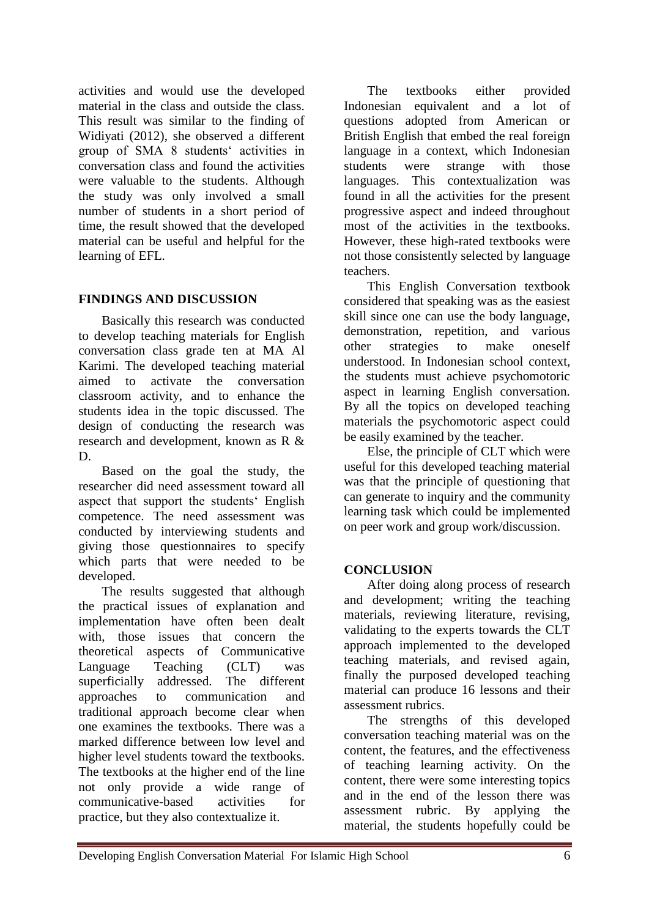activities and would use the developed material in the class and outside the class. This result was similar to the finding of Widiyati (2012), she observed a different group of SMA 8 students' activities in conversation class and found the activities were valuable to the students. Although the study was only involved a small number of students in a short period of time, the result showed that the developed material can be useful and helpful for the learning of EFL.

## **FINDINGS AND DISCUSSION**

Basically this research was conducted to develop teaching materials for English conversation class grade ten at MA Al Karimi. The developed teaching material aimed to activate the conversation classroom activity, and to enhance the students idea in the topic discussed. The design of conducting the research was research and development, known as R & D.

Based on the goal the study, the researcher did need assessment toward all aspect that support the students' English competence. The need assessment was conducted by interviewing students and giving those questionnaires to specify which parts that were needed to be developed.

The results suggested that although the practical issues of explanation and implementation have often been dealt with, those issues that concern the theoretical aspects of Communicative Language Teaching (CLT) was superficially addressed. The different approaches to communication and traditional approach become clear when one examines the textbooks. There was a marked difference between low level and higher level students toward the textbooks. The textbooks at the higher end of the line not only provide a wide range of communicative-based activities for practice, but they also contextualize it.

The textbooks either provided Indonesian equivalent and a lot of questions adopted from American or British English that embed the real foreign language in a context, which Indonesian<br>students were strange with those students were strange with those languages. This contextualization was found in all the activities for the present progressive aspect and indeed throughout most of the activities in the textbooks. However, these high-rated textbooks were not those consistently selected by language teachers.

This English Conversation textbook considered that speaking was as the easiest skill since one can use the body language, demonstration, repetition, and various other strategies to make oneself understood. In Indonesian school context, the students must achieve psychomotoric aspect in learning English conversation. By all the topics on developed teaching materials the psychomotoric aspect could be easily examined by the teacher.

Else, the principle of CLT which were useful for this developed teaching material was that the principle of questioning that can generate to inquiry and the community learning task which could be implemented on peer work and group work/discussion.

# **CONCLUSION**

After doing along process of research and development; writing the teaching materials, reviewing literature, revising, validating to the experts towards the CLT approach implemented to the developed teaching materials, and revised again, finally the purposed developed teaching material can produce 16 lessons and their assessment rubrics.

The strengths of this developed conversation teaching material was on the content, the features, and the effectiveness of teaching learning activity. On the content, there were some interesting topics and in the end of the lesson there was assessment rubric. By applying the material, the students hopefully could be